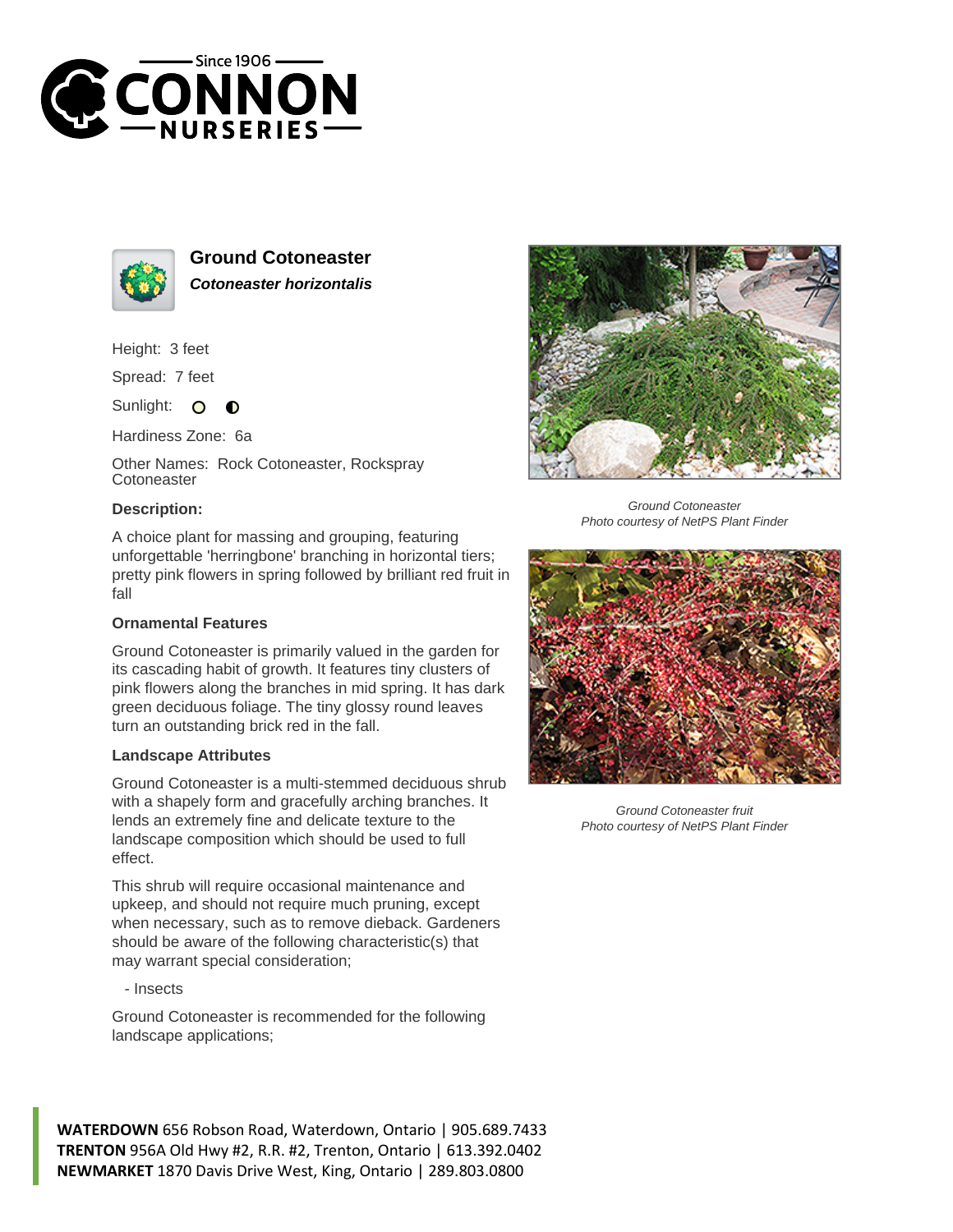



**Ground Cotoneaster Cotoneaster horizontalis**

Height: 3 feet

Spread: 7 feet

Sunlight:  $\bullet$  $\bullet$ 

Hardiness Zone: 6a

Other Names: Rock Cotoneaster, Rockspray **Cotoneaster** 

## **Description:**



Ground Cotoneaster Photo courtesy of NetPS Plant Finder

A choice plant for massing and grouping, featuring unforgettable 'herringbone' branching in horizontal tiers; pretty pink flowers in spring followed by brilliant red fruit in fall

## **Ornamental Features**

Ground Cotoneaster is primarily valued in the garden for its cascading habit of growth. It features tiny clusters of pink flowers along the branches in mid spring. It has dark green deciduous foliage. The tiny glossy round leaves turn an outstanding brick red in the fall.

## **Landscape Attributes**

Ground Cotoneaster is a multi-stemmed deciduous shrub with a shapely form and gracefully arching branches. It lends an extremely fine and delicate texture to the landscape composition which should be used to full effect.

This shrub will require occasional maintenance and upkeep, and should not require much pruning, except when necessary, such as to remove dieback. Gardeners should be aware of the following characteristic(s) that may warrant special consideration;

- Insects

Ground Cotoneaster is recommended for the following landscape applications;

**WATERDOWN** 656 Robson Road, Waterdown, Ontario | 905.689.7433 **TRENTON** 956A Old Hwy #2, R.R. #2, Trenton, Ontario | 613.392.0402 **NEWMARKET** 1870 Davis Drive West, King, Ontario | 289.803.0800



Ground Cotoneaster fruit Photo courtesy of NetPS Plant Finder